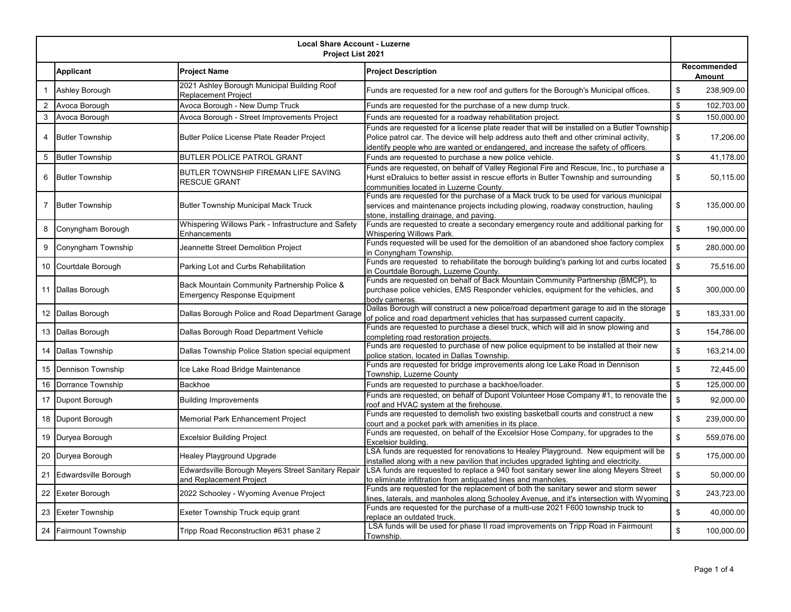| <b>Local Share Account - Luzerne</b><br>Project List 2021 |                           |                                                                                     |                                                                                                                                                                                                                                                                            |                           |            |
|-----------------------------------------------------------|---------------------------|-------------------------------------------------------------------------------------|----------------------------------------------------------------------------------------------------------------------------------------------------------------------------------------------------------------------------------------------------------------------------|---------------------------|------------|
|                                                           | <b>Applicant</b>          | <b>Project Name</b>                                                                 | <b>Project Description</b>                                                                                                                                                                                                                                                 | Recommended<br>Amount     |            |
|                                                           | Ashley Borough            | 2021 Ashley Borough Municipal Building Roof<br>Replacement Project                  | Funds are requested for a new roof and gutters for the Borough's Municipal offices.                                                                                                                                                                                        | \$                        | 238,909.00 |
| $\overline{2}$                                            | Avoca Borough             | Avoca Borough - New Dump Truck                                                      | Funds are requested for the purchase of a new dump truck.                                                                                                                                                                                                                  | \$                        | 102,703.00 |
| 3                                                         | Avoca Borough             | Avoca Borough - Street Improvements Project                                         | Funds are requested for a roadway rehabilitation project.                                                                                                                                                                                                                  | $\sqrt[6]{\frac{1}{2}}$   | 150,000.00 |
|                                                           | <b>Butler Township</b>    | Butler Police License Plate Reader Project                                          | Funds are requested for a license plate reader that will be installed on a Butler Township<br>Police patrol car. The device will help address auto theft and other criminal activity,<br>dentify people who are wanted or endangered, and increase the safety of officers. | \$                        | 17,206.00  |
| 5                                                         | <b>Butler Township</b>    | <b>BUTLER POLICE PATROL GRANT</b>                                                   | Funds are requested to purchase a new police vehicle.                                                                                                                                                                                                                      | $\sqrt[6]{\frac{1}{2}}$   | 41,178.00  |
| 6                                                         | <b>Butler Township</b>    | BUTLER TOWNSHIP FIREMAN LIFE SAVING<br><b>RESCUE GRANT</b>                          | Funds are requested, on behalf of Valley Regional Fire and Rescue, Inc., to purchase a<br>Hurst eDraluics to better assist in rescue efforts in Butler Township and surrounding<br>communities located in Luzerne County.                                                  | \$                        | 50,115.00  |
| 7                                                         | <b>Butler Township</b>    | <b>Butler Township Municipal Mack Truck</b>                                         | Funds are requested for the purchase of a Mack truck to be used for various municipal<br>services and maintenance projects including plowing, roadway construction, hauling<br>stone, installing drainage, and paving.                                                     | \$                        | 135,000.00 |
| 8                                                         | Conyngham Borough         | Whispering Willows Park - Infrastructure and Safety<br>Enhancements                 | Funds are requested to create a secondary emergency route and additional parking for<br>Whispering Willows Park.                                                                                                                                                           | $$\mathbb{S}$$            | 190,000.00 |
| 9                                                         | Conyngham Township        | Jeannette Street Demolition Project                                                 | Funds requested will be used for the demolition of an abandoned shoe factory complex<br>in Conyngham Township.                                                                                                                                                             | $\sqrt[6]{\frac{1}{2}}$   | 280,000.00 |
| 10                                                        | Courtdale Borough         | Parking Lot and Curbs Rehabilitation                                                | Funds are requested to rehabilitate the borough building's parking lot and curbs located<br>in Courtdale Borough, Luzerne County.                                                                                                                                          | $\sqrt[6]{\frac{1}{2}}$   | 75,516.00  |
|                                                           | 11 Dallas Borough         | Back Mountain Community Partnership Police &<br><b>Emergency Response Equipment</b> | Funds are requested on behalf of Back Mountain Community Partnership (BMCP), to<br>purchase police vehicles, EMS Responder vehicles, equipment for the vehicles, and<br>body cameras.                                                                                      | \$                        | 300,000.00 |
| 12                                                        | Dallas Borough            | Dallas Borough Police and Road Department Garage                                    | Dallas Borough will construct a new police/road department garage to aid in the storage<br>of police and road department vehicles that has surpassed current capacity.                                                                                                     | $\sqrt[6]{\frac{1}{2}}$   | 183,331.00 |
| 13                                                        | Dallas Borough            | Dallas Borough Road Department Vehicle                                              | Funds are requested to purchase a diesel truck, which will aid in snow plowing and<br>completing road restoration projects.                                                                                                                                                | \$                        | 154,786.00 |
| 14                                                        | <b>Dallas Township</b>    | Dallas Township Police Station special equipment                                    | Funds are requested to purchase of new police equipment to be installed at their new<br>police station, located in Dallas Township.                                                                                                                                        | $\sqrt[6]{\frac{1}{2}}$   | 163,214.00 |
| 15                                                        | <b>Dennison Township</b>  | Ice Lake Road Bridge Maintenance                                                    | Funds are requested for bridge improvements along Ice Lake Road in Dennison<br>Township, Luzerne County                                                                                                                                                                    | $\sqrt[6]{\frac{1}{2}}$   | 72,445.00  |
| 16                                                        | Dorrance Township         | Backhoe                                                                             | Funds are requested to purchase a backhoe/loader.                                                                                                                                                                                                                          | \$                        | 125,000.00 |
| 17                                                        | Dupont Borough            | <b>Building Improvements</b>                                                        | Funds are requested, on behalf of Dupont Volunteer Hose Company #1, to renovate the<br>roof and HVAC system at the firehouse.                                                                                                                                              | $\mathbf{\$}$             | 92,000.00  |
| 18                                                        | Dupont Borough            | Memorial Park Enhancement Project                                                   | Funds are requested to demolish two existing basketball courts and construct a new<br>court and a pocket park with amenities in its place.                                                                                                                                 | $\mathbf{\$}$             | 239,000.00 |
| 19                                                        | Duryea Borough            | <b>Excelsior Building Project</b>                                                   | Funds are requested, on behalf of the Excelsior Hose Company, for upgrades to the<br>Excelsior building.                                                                                                                                                                   | $\sqrt[6]{\frac{1}{2}}$   | 559,076.00 |
| 20                                                        | Duryea Borough            | Healey Playground Upgrade                                                           | LSA funds are requested for renovations to Healey Playground. New equipment will be<br>installed along with a new pavilion that includes upgraded lighting and electricity.                                                                                                | $\sqrt[6]{\frac{1}{2}}$   | 175,000.00 |
| 21                                                        | Edwardsville Borough      | Edwardsville Borough Meyers Street Sanitary Repair<br>and Replacement Project       | LSA funds are requested to replace a 940 foot sanitary sewer line along Meyers Street<br>to eliminate infiltration from antiquated lines and manholes.                                                                                                                     | $$\mathbb{S}$$            | 50,000.00  |
| 22                                                        | Exeter Borough            | 2022 Schooley - Wyoming Avenue Project                                              | Funds are requested for the replacement of both the sanitary sewer and storm sewer<br>ines, laterals, and manholes along Schooley Avenue, and it's intersection with Wyoming                                                                                               | \$                        | 243,723.00 |
| 23                                                        | <b>Exeter Township</b>    | Exeter Township Truck equip grant                                                   | Funds are requested for the purchase of a multi-use 2021 F600 township truck to<br>replace an outdated truck.                                                                                                                                                              | $\boldsymbol{\mathsf{s}}$ | 40,000.00  |
| 24                                                        | <b>Fairmount Township</b> | Tripp Road Reconstruction #631 phase 2                                              | LSA funds will be used for phase II road improvements on Tripp Road in Fairmount<br>Township.                                                                                                                                                                              | $\boldsymbol{\mathsf{S}}$ | 100,000.00 |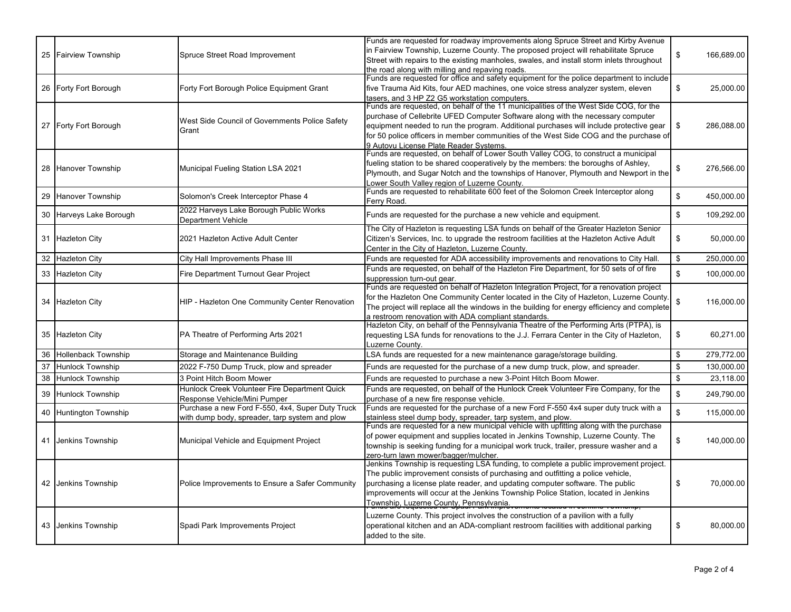|    | 25 Fairview Township    | Spruce Street Road Improvement                                                                     | Funds are requested for roadway improvements along Spruce Street and Kirby Avenue<br>in Fairview Township, Luzerne County. The proposed project will rehabilitate Spruce<br>Street with repairs to the existing manholes, swales, and install storm inlets throughout                                                                                                                                 | \$             | 166,689.00 |
|----|-------------------------|----------------------------------------------------------------------------------------------------|-------------------------------------------------------------------------------------------------------------------------------------------------------------------------------------------------------------------------------------------------------------------------------------------------------------------------------------------------------------------------------------------------------|----------------|------------|
|    | 26 Forty Fort Borough   | Forty Fort Borough Police Equipment Grant                                                          | the road along with milling and repaving roads.<br>Funds are requested for office and safety equipment for the police department to include<br>five Trauma Aid Kits, four AED machines, one voice stress analyzer system, eleven<br>tasers, and 3 HP Z2 G5 workstation computers.                                                                                                                     | \$             | 25,000.00  |
|    | 27 Forty Fort Borough   | West Side Council of Governments Police Safety<br>Grant                                            | Funds are requested, on behalf of the 11 municipalities of the West Side COG, for the<br>purchase of Cellebrite UFED Computer Software along with the necessary computer<br>equipment needed to run the program. Additional purchases will include protective gear<br>for 50 police officers in member communities of the West Side COG and the purchase of<br>9 Autovu License Plate Reader Systems. | \$             | 286,088.00 |
|    | 28 Hanover Township     | Municipal Fueling Station LSA 2021                                                                 | Funds are requested, on behalf of Lower South Valley COG, to construct a municipal<br>fueling station to be shared cooperatively by the members: the boroughs of Ashley,<br>Plymouth, and Sugar Notch and the townships of Hanover, Plymouth and Newport in the<br>Lower South Valley region of Luzerne County.                                                                                       | \$             | 276,566.00 |
|    | 29 Hanover Township     | Solomon's Creek Interceptor Phase 4                                                                | Funds are requested to rehabilitate 600 feet of the Solomon Creek Interceptor along<br>Ferry Road.                                                                                                                                                                                                                                                                                                    | \$             | 450,000.00 |
|    | 30 Harveys Lake Borough | 2022 Harveys Lake Borough Public Works<br><b>Department Vehicle</b>                                | Funds are requested for the purchase a new vehicle and equipment.                                                                                                                                                                                                                                                                                                                                     | \$             | 109,292.00 |
|    | 31 Hazleton City        | 2021 Hazleton Active Adult Center                                                                  | The City of Hazleton is requesting LSA funds on behalf of the Greater Hazleton Senior<br>Citizen's Services, Inc. to upgrade the restroom facilities at the Hazleton Active Adult<br>Center in the City of Hazleton, Luzerne County.                                                                                                                                                                  | \$             | 50,000.00  |
|    | 32 Hazleton City        | City Hall Improvements Phase III                                                                   | Funds are requested for ADA accessibility improvements and renovations to City Hall.                                                                                                                                                                                                                                                                                                                  | \$             | 250.000.00 |
|    | 33 Hazleton City        | <b>Fire Department Turnout Gear Project</b>                                                        | Funds are requested, on behalf of the Hazleton Fire Department, for 50 sets of of fire<br>suppression turn-out gear.                                                                                                                                                                                                                                                                                  | $\mathbb{S}$   | 100.000.00 |
|    | 34 Hazleton City        | HIP - Hazleton One Community Center Renovation                                                     | Funds are requested on behalf of Hazleton Integration Project, for a renovation project<br>for the Hazleton One Community Center located in the City of Hazleton, Luzerne County.<br>The project will replace all the windows in the building for energy efficiency and complete<br>a restroom renovation with ADA compliant standards.                                                               | \$             | 116,000.00 |
|    | 35 Hazleton City        | PA Theatre of Performing Arts 2021                                                                 | Hazleton City, on behalf of the Pennsylvania Theatre of the Performing Arts (PTPA), is<br>requesting LSA funds for renovations to the J.J. Ferrara Center in the City of Hazleton,<br>Luzerne County.                                                                                                                                                                                                 | \$             | 60,271.00  |
|    | 36 Hollenback Township  | Storage and Maintenance Building                                                                   | SA funds are requested for a new maintenance garage/storage building.                                                                                                                                                                                                                                                                                                                                 | \$             | 279,772.00 |
| 37 | <b>Hunlock Township</b> | 2022 F-750 Dump Truck, plow and spreader                                                           | Funds are requested for the purchase of a new dump truck, plow, and spreader.                                                                                                                                                                                                                                                                                                                         | \$             | 130,000.00 |
| 38 | <b>Hunlock Township</b> | 3 Point Hitch Boom Mower                                                                           | Funds are requested to purchase a new 3-Point Hitch Boom Mower.                                                                                                                                                                                                                                                                                                                                       | \$             | 23,118.00  |
|    | 39 Hunlock Township     | Hunlock Creek Volunteer Fire Department Quick<br>Response Vehicle/Mini Pumper                      | Funds are requested, on behalf of the Hunlock Creek Volunteer Fire Company, for the<br>purchase of a new fire response vehicle.                                                                                                                                                                                                                                                                       | $$\mathbb{S}$$ | 249,790.00 |
|    | 40 Huntington Township  | Purchase a new Ford F-550, 4x4, Super Duty Truck<br>with dump body, spreader, tarp system and plow | Funds are requested for the purchase of a new Ford F-550 4x4 super duty truck with a<br>stainless steel dump body, spreader, tarp system, and plow.                                                                                                                                                                                                                                                   | $$\mathbb{S}$$ | 115,000.00 |
|    | 41 Jenkins Township     | Municipal Vehicle and Equipment Project                                                            | Funds are requested for a new municipal vehicle with upfitting along with the purchase<br>of power equipment and supplies located in Jenkins Township, Luzerne County. The<br>township is seeking funding for a municipal work truck, trailer, pressure washer and a<br>zero-turn lawn mower/bagger/mulcher.                                                                                          | \$             | 140,000.00 |
|    | 42 Jenkins Township     | Police Improvements to Ensure a Safer Community                                                    | Jenkins Township is requesting LSA funding, to complete a public improvement project.<br>The public improvement consists of purchasing and outfitting a police vehicle,<br>purchasing a license plate reader, and updating computer software. The public<br>improvements will occur at the Jenkins Township Police Station, located in Jenkins<br>Township, Luzerne County, Pennsylvania.             | \$             | 70,000.00  |
|    | 43 Jenkins Township     | Spadi Park Improvements Project                                                                    | Luzerne County. This project involves the construction of a pavilion with a fully<br>operational kitchen and an ADA-compliant restroom facilities with additional parking<br>added to the site.                                                                                                                                                                                                       | \$             | 80,000.00  |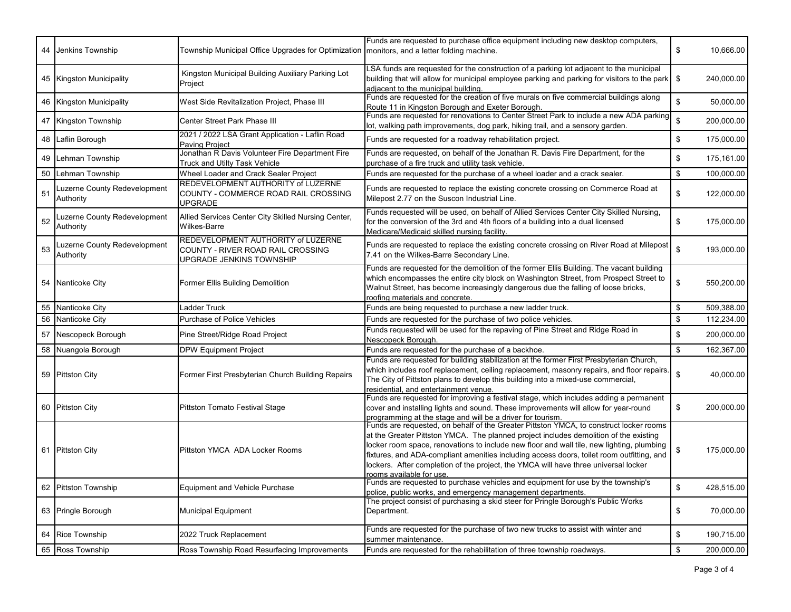| 44 | Jenkins Township                          | Township Municipal Office Upgrades for Optimization   monitors, and a letter folding machine.       | Funds are requested to purchase office equipment including new desktop computers,                                                                                                                                                                                                                                                                                                                                                                                                           | \$                        | 10,666.00  |
|----|-------------------------------------------|-----------------------------------------------------------------------------------------------------|---------------------------------------------------------------------------------------------------------------------------------------------------------------------------------------------------------------------------------------------------------------------------------------------------------------------------------------------------------------------------------------------------------------------------------------------------------------------------------------------|---------------------------|------------|
|    |                                           |                                                                                                     |                                                                                                                                                                                                                                                                                                                                                                                                                                                                                             |                           |            |
|    | 45 Kingston Municipality                  | Kingston Municipal Building Auxiliary Parking Lot<br>Project                                        | SA funds are requested for the construction of a parking lot adjacent to the municipal<br>building that will allow for municipal employee parking and parking for visitors to the park<br>adjacent to the municipal building.                                                                                                                                                                                                                                                               | \$                        | 240.000.00 |
| 46 | <b>Kingston Municipality</b>              | West Side Revitalization Project, Phase III                                                         | Funds are requested for the creation of five murals on five commercial buildings along<br>Route 11 in Kingston Borough and Exeter Borough.                                                                                                                                                                                                                                                                                                                                                  | $$\mathbb{S}$$            | 50,000.00  |
| 47 | Kingston Township                         | Center Street Park Phase III                                                                        | Funds are requested for renovations to Center Street Park to include a new ADA parking<br>lot, walking path improvements, dog park, hiking trail, and a sensory garden.                                                                                                                                                                                                                                                                                                                     | $$\mathbb{S}$$            | 200,000.00 |
| 48 | Laflin Borough                            | 2021 / 2022 LSA Grant Application - Laflin Road<br><b>Paving Project</b>                            | Funds are requested for a roadway rehabilitation project.                                                                                                                                                                                                                                                                                                                                                                                                                                   | \$                        | 175,000.00 |
| 49 | Lehman Township                           | Jonathan R Davis Volunteer Fire Department Fire<br>Truck and Utilty Task Vehicle                    | Funds are requested, on behalf of the Jonathan R. Davis Fire Department, for the<br>purchase of a fire truck and utility task vehicle.                                                                                                                                                                                                                                                                                                                                                      | $\boldsymbol{\mathsf{s}}$ | 175,161.00 |
| 50 | Lehman Township                           | Wheel Loader and Crack Sealer Project                                                               | Funds are requested for the purchase of a wheel loader and a crack sealer.                                                                                                                                                                                                                                                                                                                                                                                                                  | $\boldsymbol{\mathsf{s}}$ | 100,000.00 |
| 51 | Luzerne County Redevelopment<br>Authority | REDEVELOPMENT AUTHORITY of LUZERNE<br>COUNTY - COMMERCE ROAD RAIL CROSSING<br><b>UPGRADE</b>        | Funds are requested to replace the existing concrete crossing on Commerce Road at<br>Milepost 2.77 on the Suscon Industrial Line.                                                                                                                                                                                                                                                                                                                                                           | \$                        | 122,000.00 |
| 52 | Luzerne County Redevelopment<br>Authority | Allied Services Center City Skilled Nursing Center,<br><b>Wilkes-Barre</b>                          | Funds requested will be used, on behalf of Allied Services Center City Skilled Nursing,<br>for the conversion of the 3rd and 4th floors of a building into a dual licensed<br>Medicare/Medicaid skilled nursing facility.                                                                                                                                                                                                                                                                   | \$                        | 175,000.00 |
| 53 | Luzerne County Redevelopment<br>Authority | REDEVELOPMENT AUTHORITY of LUZERNE<br>COUNTY - RIVER ROAD RAIL CROSSING<br>UPGRADE JENKINS TOWNSHIP | Funds are requested to replace the existing concrete crossing on River Road at Milepost<br>7.41 on the Wilkes-Barre Secondary Line.                                                                                                                                                                                                                                                                                                                                                         | $\mathsf{\$}$             | 193,000.00 |
|    | 54 Nanticoke City                         | Former Ellis Building Demolition                                                                    | Funds are requested for the demolition of the former Ellis Building. The vacant building<br>which encompasses the entire city block on Washington Street, from Prospect Street to<br>Walnut Street, has become increasingly dangerous due the falling of loose bricks,<br>roofing materials and concrete.                                                                                                                                                                                   | $\,$                      | 550,200.00 |
| 55 | Nanticoke City                            | Ladder Truck                                                                                        | Funds are being requested to purchase a new ladder truck.                                                                                                                                                                                                                                                                                                                                                                                                                                   | $\boldsymbol{\mathsf{s}}$ | 509,388.00 |
| 56 | Nanticoke City                            | Purchase of Police Vehicles                                                                         | Funds are requested for the purchase of two police vehicles.                                                                                                                                                                                                                                                                                                                                                                                                                                | $\boldsymbol{\mathsf{s}}$ | 112,234.00 |
| 57 | Nescopeck Borough                         | Pine Street/Ridge Road Project                                                                      | Funds requested will be used for the repaving of Pine Street and Ridge Road in<br>Nescopeck Borough.                                                                                                                                                                                                                                                                                                                                                                                        | \$                        | 200,000.00 |
| 58 | Nuangola Borough                          | <b>DPW Equipment Project</b>                                                                        | Funds are requested for the purchase of a backhoe.                                                                                                                                                                                                                                                                                                                                                                                                                                          | $\boldsymbol{\mathsf{s}}$ | 162,367.00 |
|    | 59 Pittston City                          | Former First Presbyterian Church Building Repairs                                                   | Funds are requested for building stabilization at the former First Presbyterian Church,<br>which includes roof replacement, ceiling replacement, masonry repairs, and floor repairs.<br>The City of Pittston plans to develop this building into a mixed-use commercial,<br>esidential, and entertainment venue.                                                                                                                                                                            | $$\mathbb{S}$$            | 40,000.00  |
|    | 60 Pittston City                          | Pittston Tomato Festival Stage                                                                      | Funds are requested for improving a festival stage, which includes adding a permanent<br>cover and installing lights and sound. These improvements will allow for year-round<br>programming at the stage and will be a driver for tourism.                                                                                                                                                                                                                                                  | \$                        | 200,000.00 |
|    | 61 Pittston City                          | Pittston YMCA ADA Locker Rooms                                                                      | Funds are requested, on behalf of the Greater Pittston YMCA, to construct locker rooms<br>at the Greater Pittston YMCA. The planned project includes demolition of the existing<br>locker room space, renovations to include new floor and wall tile, new lighting, plumbing<br>fixtures, and ADA-compliant amenities including access doors, toilet room outfitting, and<br>lockers. After completion of the project, the YMCA will have three universal locker<br>ooms available for use. | \$                        | 175,000.00 |
| 62 | <b>Pittston Township</b>                  | <b>Equipment and Vehicle Purchase</b>                                                               | Funds are requested to purchase vehicles and equipment for use by the township's<br>police, public works, and emergency management departments.                                                                                                                                                                                                                                                                                                                                             | $$\mathbb{S}$$            | 428,515.00 |
|    | 63 Pringle Borough                        | <b>Municipal Equipment</b>                                                                          | The project consist of purchasing a skid steer for Pringle Borough's Public Works<br>Department.                                                                                                                                                                                                                                                                                                                                                                                            | \$                        | 70,000.00  |
|    |                                           |                                                                                                     | Funds are requested for the purchase of two new trucks to assist with winter and                                                                                                                                                                                                                                                                                                                                                                                                            |                           |            |
| 64 | <b>Rice Township</b>                      | 2022 Truck Replacement                                                                              | summer maintenance.                                                                                                                                                                                                                                                                                                                                                                                                                                                                         | $\boldsymbol{\mathsf{s}}$ | 190,715.00 |